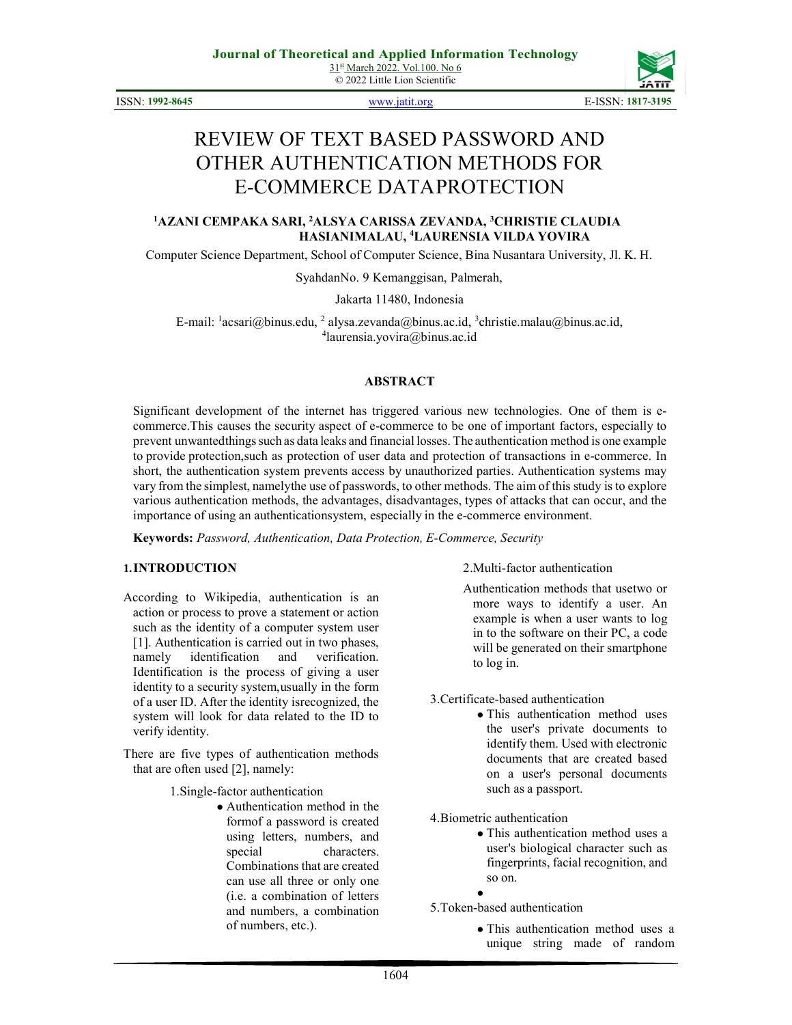© 2022 Little Lion Scientific

ISSN: 1992-8645 www.jatit.org E-ISSN: 1817-3195



# REVIEW OF TEXT BASED PASSWORD AND OTHER AUTHENTICATION METHODS FOR E-COMMERCE DATA PROTECTION

#### <sup>1</sup>AZANI CEMPAKA SARI, <sup>2</sup>ALSYA CARISSA ZEVANDA, <sup>3</sup>CHRISTIE CLAUDIA HASIANIMALAU, <sup>4</sup>LAURENSIA VILDA YOVIRA

Computer Science Department, School of Computer Science, Bina Nusantara University, Jl. K. H.

Syahdan No. 9 Kemanggisan, Palmerah,

Jakarta 11480, Indonesia

E-mail:  $\frac{1}{2}$ acsari@binus.edu,  $\frac{2}{3}$ alysa.zevanda@binus.ac.id,  $\frac{3}{3}$ christie.malau@binus.ac.id, 4 laurensia.yovira@binus.ac.id

#### ABSTRACT

Significant development of the internet has triggered various new technologies. One of them is ecommerce. This causes the security aspect of e-commerce to be one of important factors, especially to prevent unwanted things such as data leaks and financial losses. The authentication method is one example to provide protection, such as protection of user data and protection of transactions in e-commerce. In short, the authentication system prevents access by unauthorized parties. Authentication systems may vary from the simplest, namely the use of passwords, to other methods. The aim of this study is to explore various authentication methods, the advantages, disadvantages, types of attacks that can occur, and the importance of using an authentication system, especially in the e-commerce environment.

Keywords: Password, Authentication, Data Protection, E-Commerce, Security

#### 1.INTRODUCTION

According to Wikipedia, authentication is an action or process to prove a statement or action such as the identity of a computer system user [1]. Authentication is carried out in two phases, namely identification and verification. Identification is the process of giving a user identity to a security system, usually in the form of a user ID. After the identity is recognized, the system will look for data related to the ID to verify identity.

There are five types of authentication methods that are often used [2], namely:

1.Single-factor authentication

● Authentication method in the form of a password is created using letters, numbers, and special characters. Combinations that are created can use all three or only one (i.e. a combination of letters and numbers, a combination of numbers, etc.).

2.Multi-factor authentication

Authentication methods that use two or more ways to identify a user. An example is when a user wants to log in to the software on their PC, a code will be generated on their smartphone to log in.

3.Certificate-based authentication

• This authentication method uses the user's private documents to identify them. Used with electronic documents that are created based on a user's personal documents such as a passport.

4.Biometric authentication

● This authentication method uses a user's biological character such as fingerprints, facial recognition, and so on.

● 5.Token-based authentication

> ● This authentication method uses a unique string made of random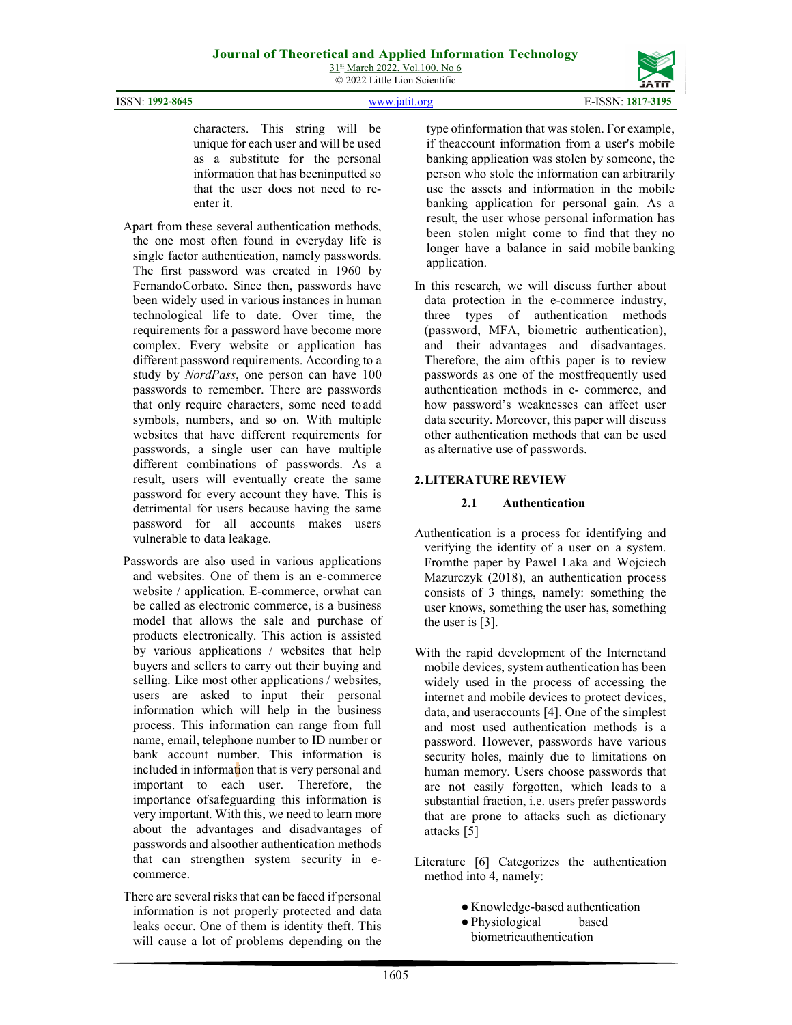ISSN: 1992-8645 www.jatit.org E-ISSN: 1817-3195

characters. This string will be unique for each user and will be used as a substitute for the personal information that has been inputted so that the user does not need to reenter it.

- Apart from these several authentication methods, the one most often found in everyday life is single factor authentication, namely passwords. The first password was created in 1960 by Fernando Corbato. Since then, passwords have been widely used in various instances in human technological life to date. Over time, the requirements for a password have become more complex. Every website or application has different password requirements. According to a study by NordPass, one person can have 100 passwords to remember. There are passwords that only require characters, some need to add symbols, numbers, and so on. With multiple websites that have different requirements for passwords, a single user can have multiple different combinations of passwords. As a result, users will eventually create the same password for every account they have. This is detrimental for users because having the same password for all accounts makes users vulnerable to data leakage.
- Passwords are also used in various applications and websites. One of them is an e- commerce website / application. E-commerce, orwhat can be called as electronic commerce, is a business model that allows the sale and purchase of products electronically. This action is assisted by various applications / websites that help buyers and sellers to carry out their buying and selling. Like most other applications / websites, users are asked to input their personal information which will help in the business process. This information can range from full name, email, telephone number to ID number or bank account number. This information is included in information that is very personal and important to each user. Therefore, the importance of safeguarding this information is very important. With this, we need to learn more about the advantages and disadvantages of passwords and alsoother authentication methods that can strengthen system security in ecommerce.
- There are several risks that can be faced if personal information is not properly protected and data leaks occur. One of them is identity theft. This will cause a lot of problems depending on the

type of information that was stolen. For example, if the account information from a user's mobile banking application was stolen by someone, the person who stole the information can arbitrarily use the assets and information in the mobile banking application for personal gain. As a result, the user whose personal information has been stolen might come to find that they no longer have a balance in said mobile banking application.

In this research, we will discuss further about data protection in the e-commerce industry, three types of authentication methods (password, MFA, biometric authentication), and their advantages and disadvantages. Therefore, the aim of this paper is to review passwords as one of the mostfrequently used authentication methods in e- commerce, and how password's weaknesses can affect user data security. Moreover, this paper will discuss other authentication methods that can be used as alternative use of passwords.

# 2.LITERATURE REVIEW

#### 2.1 Authentication

- Authentication is a process for identifying and verifying the identity of a user on a system. From the paper by Pawel Laka and Wojciech Mazurczyk (2018), an authentication process consists of 3 things, namely: something the user knows, something the user has, something the user is [3].
- With the rapid development of the Internet and mobile devices, system authentication has been widely used in the process of accessing the internet and mobile devices to protect devices, data, and user accounts [4]. One of the simplest and most used authentication methods is a password. However, passwords have various security holes, mainly due to limitations on human memory. Users choose passwords that are not easily forgotten, which leads to a substantial fraction, i.e. users prefer passwords that are prone to attacks such as dictionary attacks [5]
- Literature [6] Categorizes the authentication method into 4, namely:
	- Knowledge-based authentication
	- Physiological based biometric authentication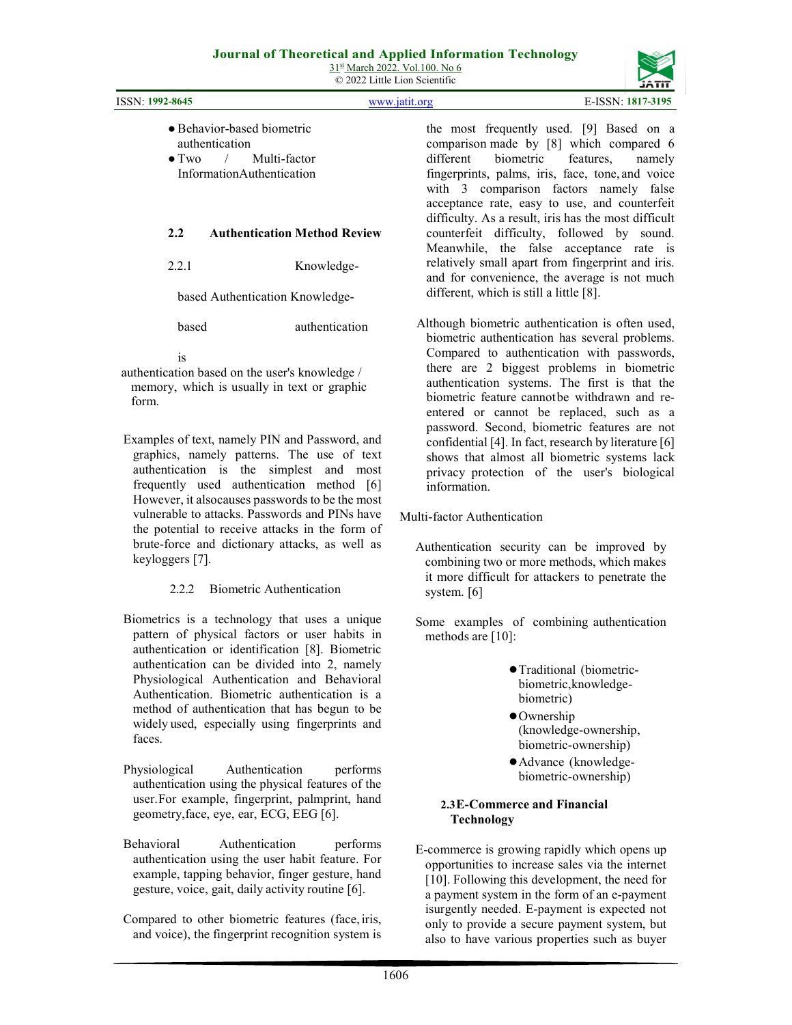|                                                                                                                     | $\odot$ 2022 Little Lion Scientific                                                                                                                                                                                       |
|---------------------------------------------------------------------------------------------------------------------|---------------------------------------------------------------------------------------------------------------------------------------------------------------------------------------------------------------------------|
| <b>ISSN: 1992-8645</b>                                                                                              | E-ISSN: 1817-3195<br>www.jatit.org                                                                                                                                                                                        |
| • Behavior-based biometric<br>authentication<br>Multi-factor<br>$\bullet$ Two $\prime$<br>InformationAuthentication | the most frequently used. [9] Based on a<br>comparison made by [8] which compared 6<br>different biometric features, namely<br>fingerprints, palms, iris, face, tone, and voice<br>with 3 comparison factors namely false |
|                                                                                                                     | acceptance rate, easy to use, and counterfeit<br>difficulty. As a result, iris has the most difficult                                                                                                                     |
| <b>Authentication Method Review</b><br>2.2                                                                          | counterfeit difficulty, followed by sound.                                                                                                                                                                                |

2.2.1 Knowledge-

based Authentication Knowledge-

based authentication

is

authentication based on the user's knowledge / memory, which is usually in text or graphic form.

Examples of text, namely PIN and Password, and graphics, namely patterns. The use of text authentication is the simplest and most frequently used authentication method [6] However, it also causes passwords to be the most vulnerable to attacks. Passwords and PINs have the potential to receive attacks in the form of brute-force and dictionary attacks, as well as keyloggers [7].

# 2.2.2 Biometric Authentication

- Biometrics is a technology that uses a unique pattern of physical factors or user habits in authentication or identification [8]. Biometric authentication can be divided into 2, namely Physiological Authentication and Behavioral Authentication. Biometric authentication is a method of authentication that has begun to be widely used, especially using fingerprints and faces.
- Physiological Authentication performs authentication using the physical features of the user. For example, fingerprint, palmprint, hand geometry, face, eye, ear, ECG, EEG [6].
- Behavioral Authentication performs authentication using the user habit feature. For example, tapping behavior, finger gesture, hand gesture, voice, gait, daily activity routine [6].
- Compared to other biometric features (face, iris, and voice), the fingerprint recognition system is

the most frequently used. [9] Based on a comparison made by [8] which compared 6 different biometric features, namely fingerprints, palms, iris, face, tone, and voice with 3 comparison factors namely false acceptance rate, easy to use, and counterfeit difficulty. As a result, iris has the most difficult counterfeit difficulty, followed by sound. Meanwhile, the false acceptance rate is relatively small apart from fingerprint and iris. and for convenience, the average is not much different, which is still a little [8].

Although biometric authentication is often used, biometric authentication has several problems. Compared to authentication with passwords, there are 2 biggest problems in biometric authentication systems. The first is that the biometric feature cannot be withdrawn and reentered or cannot be replaced, such as a password. Second, biometric features are not confidential [4]. In fact, research by literature [6] shows that almost all biometric systems lack privacy protection of the user's biological information.

Multi-factor Authentication

Authentication security can be improved by combining two or more methods, which makes it more difficult for attackers to penetrate the system. [6]

Some examples of combining authentication methods are [10]:

- ●Traditional (biometricbiometric, knowledgebiometric)
- ●Ownership (knowledge-ownership, biometric-ownership)
- ●Advance (knowledgebiometric- ownership)

#### 2.3E-Commerce and Financial Technology

E-commerce is growing rapidly which opens up opportunities to increase sales via the internet [10]. Following this development, the need for a payment system in the form of an e-payment is urgently needed. E-payment is expected not only to provide a secure payment system, but also to have various properties such as buyer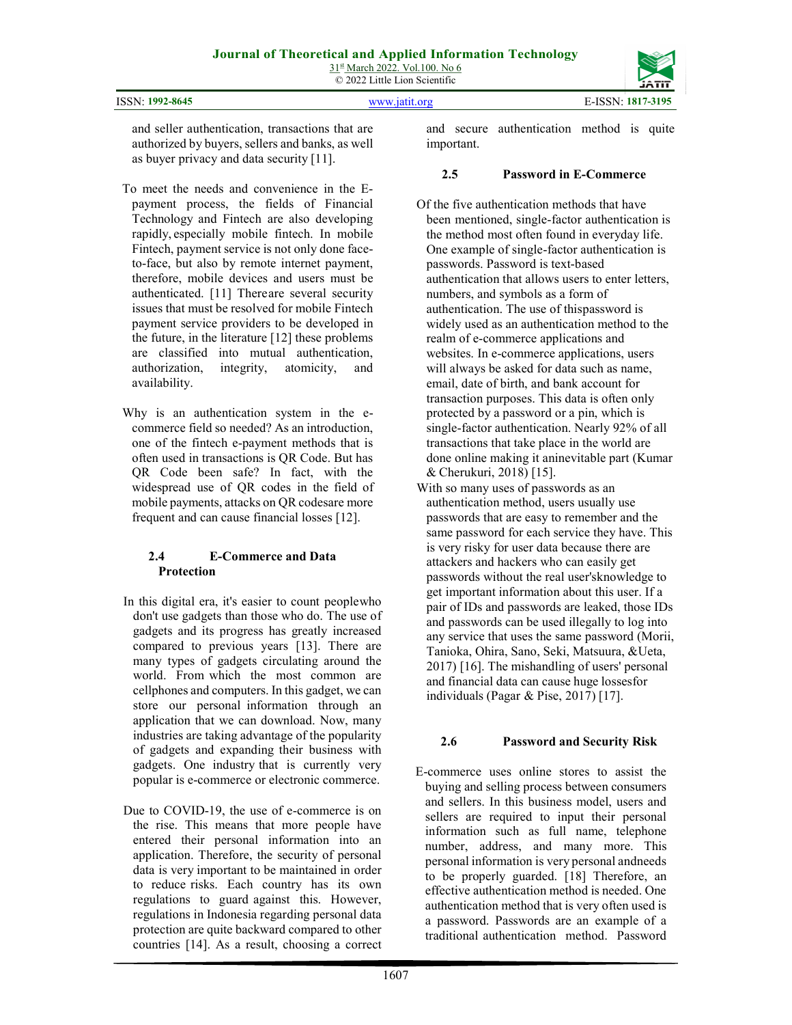| <b>ISSN: 1992-8645</b> | www.jatit.org |
|------------------------|---------------|



and seller authentication, transactions that are authorized by buyers, sellers and banks, as well as buyer privacy and data security [11].

- To meet the needs and convenience in the Epayment process, the fields of Financial Technology and Fintech are also developing rapidly, especially mobile fintech. In mobile Fintech, payment service is not only done faceto-face, but also by remote internet payment, therefore, mobile devices and users must be authenticated. [11] There are several security issues that must be resolved for mobile Fintech payment service providers to be developed in the future, in the literature [12] these problems are classified into mutual authentication, authorization, integrity, atomicity, and availability.
- Why is an authentication system in the ecommerce field so needed? As an introduction, one of the fintech e-payment methods that is often used in transactions is QR Code. But has QR Code been safe? In fact, with the widespread use of QR codes in the field of mobile payments, attacks on QR codes are more frequent and can cause financial losses [12].

# 2.4 E-Commerce and Data Protection

- In this digital era, it's easier to count people who don't use gadgets than those who do. The use of gadgets and its progress has greatly increased compared to previous years [13]. There are many types of gadgets circulating around the world. From which the most common are cellphones and computers. In this gadget, we can store our personal information through an application that we can download. Now, many industries are taking advantage of the popularity of gadgets and expanding their business with gadgets. One industry that is currently very popular is e-commerce or electronic commerce.
- Due to COVID-19, the use of e-commerce is on the rise. This means that more people have entered their personal information into an application. Therefore, the security of personal data is very important to be maintained in order to reduce risks. Each country has its own regulations to guard against this. However, regulations in Indonesia regarding personal data protection are quite backward compared to other countries [14]. As a result, choosing a correct

and secure authentication method is quite important.

### 2.5 Password in E-Commerce

- Of the five authentication methods that have been mentioned, single-factor authentication is the method most often found in everyday life. One example of single-factor authentication is passwords. Password is text-based authentication that allows users to enter letters, numbers, and symbols as a form of authentication. The use of this password is widely used as an authentication method to the realm of e-commerce applications and websites. In e-commerce applications, users will always be asked for data such as name, email, date of birth, and bank account for transaction purposes. This data is often only protected by a password or a pin, which is single-factor authentication. Nearly 92% of all transactions that take place in the world are done online making it an inevitable part (Kumar & Cherukuri, 2018) [15].
- With so many uses of passwords as an authentication method, users usually use passwords that are easy to remember and the same password for each service they have. This is very risky for user data because there are attackers and hackers who can easily get passwords without the real user's knowledge to get important information about this user. If a pair of IDs and passwords are leaked, those IDs and passwords can be used illegally to log into any service that uses the same password (Morii, Tanioka, Ohira, Sano, Seki, Matsuura, & Ueta, 2017) [16]. The mishandling of users' personal and financial data can cause huge losses for individuals (Pagar & Pise, 2017) [17].

# 2.6 Password and Security Risk

E-commerce uses online stores to assist the buying and selling process between consumers and sellers. In this business model, users and sellers are required to input their personal information such as full name, telephone number, address, and many more. This personal information is very personal and needs to be properly guarded. [18] Therefore, an effective authentication method is needed. One authentication method that is very often used is a password. Passwords are an example of a traditional authentication method. Password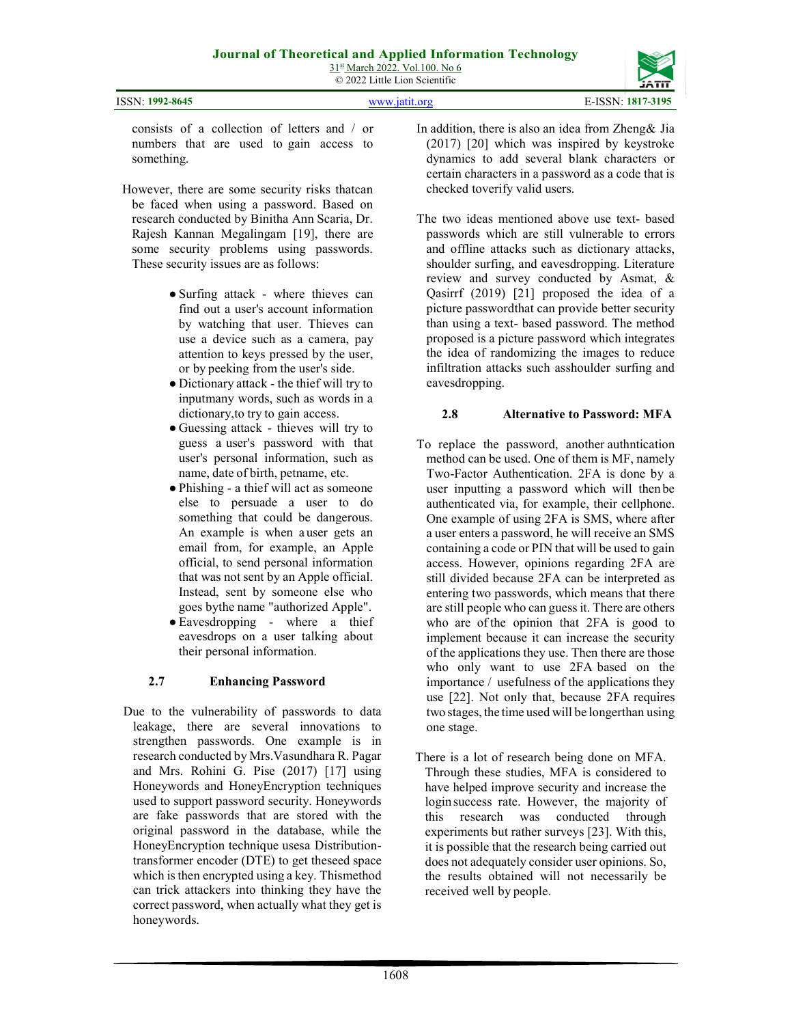| ISSN: 1992-8645 | www.jatit.org | E-ISSN: 1817-3195 |
|-----------------|---------------|-------------------|

consists of a collection of letters and / or numbers that are used to gain access to something.

- However, there are some security risks that can be faced when using a password. Based on research conducted by Binitha Ann Scaria, Dr. Rajesh Kannan Megalingam [19], there are some security problems using passwords. These security issues are as follows:
	- Surfing attack where thieves can find out a user's account information by watching that user. Thieves can use a device such as a camera, pay attention to keys pressed by the user, or by peeking from the user's side.
	- Dictionary attack the thief will try to inputmany words, such as words in a dictionary, to try to gain access.
	- Guessing attack thieves will try to guess a user's password with that user's personal information, such as name, date of birth, petname, etc.
	- Phishing a thief will act as someone else to persuade a user to do something that could be dangerous. An example is when a user gets an email from, for example, an Apple official, to send personal information that was not sent by an Apple official. Instead, sent by someone else who goes by the name "authorized Apple".
	- Eavesdropping where a thief eavesdrops on a user talking about their personal information.

# 2.7 Enhancing Password

Due to the vulnerability of passwords to data leakage, there are several innovations to strengthen passwords. One example is in research conducted by Mrs.Vasundhara R. Pagar and Mrs. Rohini G. Pise (2017) [17] using Honeywords and HoneyEncryption techniques used to support password security. Honeywords are fake passwords that are stored with the original password in the database, while the HoneyEncryption technique usesa Distributiontransformer encoder (DTE) to get the seed space which is then encrypted using a key. This method can trick attackers into thinking they have the correct password, when actually what they get is honeywords.

- In addition, there is also an idea from Zheng & Jia (2017) [20] which was inspired by keystroke dynamics to add several blank characters or certain characters in a password as a code that is checked to verify valid users.
- The two ideas mentioned above use text- based passwords which are still vulnerable to errors and offline attacks such as dictionary attacks, shoulder surfing, and eavesdropping. Literature review and survey conducted by Asmat, & Qasirrf (2019) [21] proposed the idea of a picture password that can provide better security than using a text- based password. The method proposed is a picture password which integrates the idea of randomizing the images to reduce infiltration attacks such as shoulder surfing and eavesdropping.

# 2.8 Alternative to Password: MFA

- To replace the password, another authntication method can be used. One of them is MF, namely Two-Factor Authentication. 2FA is done by a user inputting a password which will then be authenticated via, for example, their cellphone. One example of using 2FA is SMS, where after a user enters a password, he will receive an SMS containing a code or PIN that will be used to gain access. However, opinions regarding 2FA are still divided because 2FA can be interpreted as entering two passwords, which means that there are still people who can guess it. There are others who are of the opinion that 2FA is good to implement because it can increase the security of the applications they use. Then there are those who only want to use 2FA based on the importance / usefulness of the applications they use [22]. Not only that, because 2FA requires two stages, the time used will be longer than using one stage.
- There is a lot of research being done on MFA. Through these studies, MFA is considered to have helped improve security and increase the login success rate. However, the majority of this research was conducted through experiments but rather surveys [23]. With this, it is possible that the research being carried out does not adequately consider user opinions. So, the results obtained will not necessarily be received well by people.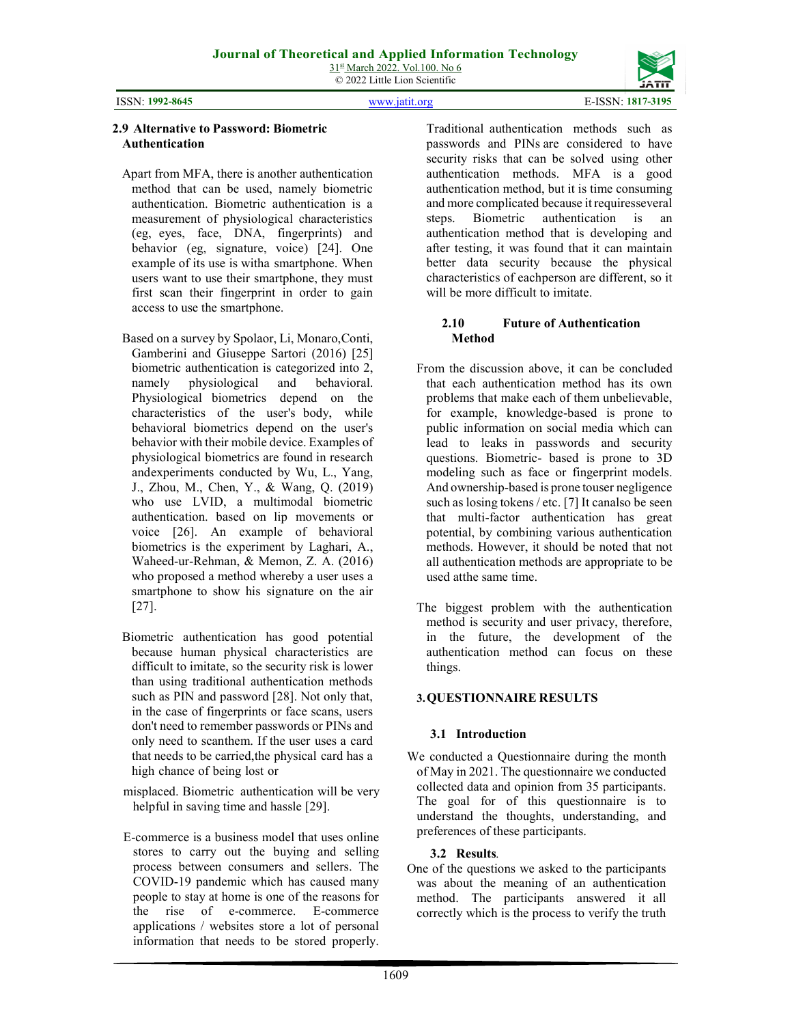© 2022 Little Lion Scientific

ISSN: 1992-8645 www.jatit.org E-ISSN: 1817-3195



#### 2.9 Alternative to Password: Biometric Authentication

- Apart from MFA, there is another authentication method that can be used, namely biometric authentication. Biometric authentication is a measurement of physiological characteristics (eg, eyes, face, DNA, fingerprints) and behavior (eg, signature, voice) [24]. One example of its use is witha smartphone. When users want to use their smartphone, they must first scan their fingerprint in order to gain access to use the smartphone.
- Based on a survey by Spolaor, Li, Monaro, Conti, Gamberini and Giuseppe Sartori (2016) [25] biometric authentication is categorized into 2, namely physiological and behavioral. Physiological biometrics depend on the characteristics of the user's body, while behavioral biometrics depend on the user's behavior with their mobile device. Examples of physiological biometrics are found in research and experiments conducted by Wu, L., Yang, J., Zhou, M., Chen, Y., & Wang, Q. (2019) who use LVID, a multimodal biometric authentication. based on lip movements or voice [26]. An example of behavioral biometrics is the experiment by Laghari, A., Waheed-ur-Rehman, & Memon, Z. A. (2016) who proposed a method whereby a user uses a smartphone to show his signature on the air [27].
- Biometric authentication has good potential because human physical characteristics are difficult to imitate, so the security risk is lower than using traditional authentication methods such as PIN and password [28]. Not only that, in the case of fingerprints or face scans, users don't need to remember passwords or PINs and only need to scanthem. If the user uses a card that needs to be carried, the physical card has a high chance of being lost or
- misplaced. Biometric authentication will be very helpful in saving time and hassle [29].
- E-commerce is a business model that uses online stores to carry out the buying and selling process between consumers and sellers. The COVID-19 pandemic which has caused many people to stay at home is one of the reasons for the rise of e-commerce. E-commerce applications / websites store a lot of personal information that needs to be stored properly.

Traditional authentication methods such as passwords and PINs are considered to have security risks that can be solved using other authentication methods. MFA is a good authentication method, but it is time consuming and more complicated because it requires several steps. Biometric authentication is an authentication method that is developing and after testing, it was found that it can maintain better data security because the physical characteristics of each person are different, so it will be more difficult to imitate.

#### 2.10 Future of Authentication Method

- From the discussion above, it can be concluded that each authentication method has its own problems that make each of them unbelievable, for example, knowledge-based is prone to public information on social media which can lead to leaks in passwords and security questions. Biometric- based is prone to 3D modeling such as face or fingerprint models. And ownership-based is prone to user negligence such as losing tokens / etc. [7] It can also be seen that multi-factor authentication has great potential, by combining various authentication methods. However, it should be noted that not all authentication methods are appropriate to be used at the same time.
- The biggest problem with the authentication method is security and user privacy, therefore, in the future, the development of the authentication method can focus on these things.

#### 3.QUESTIONNAIRE RESULTS

#### 3.1 Introduction

We conducted a Questionnaire during the month of May in 2021. The questionnaire we conducted collected data and opinion from 35 participants. The goal for of this questionnaire is to understand the thoughts, understanding, and preferences of these participants.

#### 3.2 Results.

One of the questions we asked to the participants was about the meaning of an authentication method. The participants answered it all correctly which is the process to verify the truth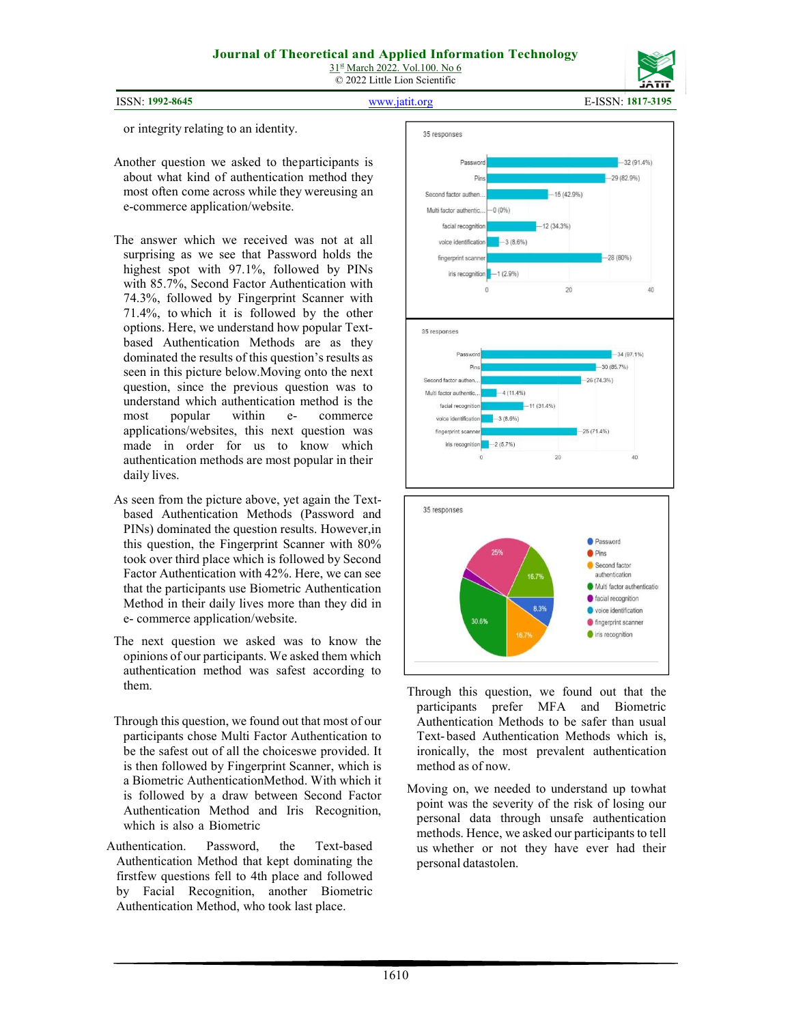



ISSN: 1992-8645 www.jatit.org E-ISSN: 1817-3195

or integrity relating to an identity.

- Another question we asked to the participants is about what kind of authentication method they most often come across while they were using an e-commerce application/website.
- The answer which we received was not at all surprising as we see that Password holds the highest spot with 97.1%, followed by PINs with 85.7%, Second Factor Authentication with 74.3%, followed by Fingerprint Scanner with 71.4%, to which it is followed by the other options. Here, we understand how popular Textbased Authentication Methods are as they dominated the results of this question's results as seen in this picture below.Moving onto the next question, since the previous question was to understand which authentication method is the most popular within e- commerce applications/websites, this next question was made in order for us to know which authentication methods are most popular in their daily lives.
- As seen from the picture above, yet again the Textbased Authentication Methods (Password and PINs) dominated the question results. However, in this question, the Fingerprint Scanner with 80% took over third place which is followed by Second Factor Authentication with 42%. Here, we can see that the participants use Biometric Authentication Method in their daily lives more than they did in e- commerce application/website.
- The next question we asked was to know the opinions of our participants. We asked them which authentication method was safest according to them.
- Through this question, we found out that most of our participants chose Multi Factor Authentication to be the safest out of all the choices we provided. It is then followed by Fingerprint Scanner, which is a Biometric Authentication Method. With which it is followed by a draw between Second Factor Authentication Method and Iris Recognition, which is also a Biometric
- Authentication. Password, the Text-based Authentication Method that kept dominating the first few questions fell to 4th place and followed by Facial Recognition, another Biometric Authentication Method, who took last place.



- Through this question, we found out that the participants prefer MFA and Biometric Authentication Methods to be safer than usual Text- based Authentication Methods which is, ironically, the most prevalent authentication method as of now.
- Moving on, we needed to understand up to what point was the severity of the risk of losing our personal data through unsafe authentication methods. Hence, we asked our participants to tell us whether or not they have ever had their personal datastolen.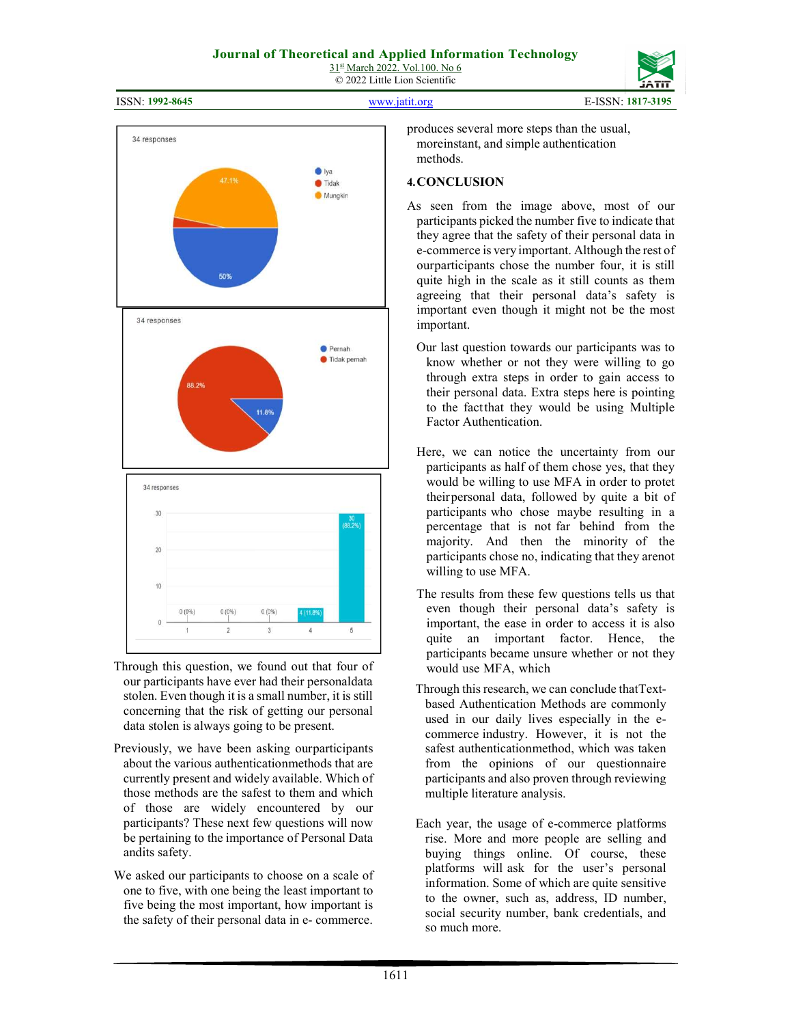ISSN: 1992-8645 www.jatit.org E-ISSN: 1817-3195



- Through this question, we found out that four of our participants have ever had their personaldata stolen. Even though it is a small number, it is still concerning that the risk of getting our personal data stolen is always going to be present.
- Previously, we have been asking ourparticipants about the various authentication methods that are currently present and widely available. Which of those methods are the safest to them and which of those are widely encountered by our participants? These next few questions will now be pertaining to the importance of Personal Data and its safety.
- We asked our participants to choose on a scale of one to five, with one being the least important to five being the most important, how important is the safety of their personal data in e- commerce.

produces several more steps than the usual, more instant, and simple authentication methods.

#### 4.CONCLUSION

- As seen from the image above, most of our participants picked the number five to indicate that they agree that the safety of their personal data in e- commerce is very important. Although the rest of our participants chose the number four, it is still quite high in the scale as it still counts as them agreeing that their personal data's safety is important even though it might not be the most important.
	- Our last question towards our participants was to know whether or not they were willing to go through extra steps in order to gain access to their personal data. Extra steps here is pointing to the fact that they would be using Multiple Factor Authentication.
	- Here, we can notice the uncertainty from our participants as half of them chose yes, that they would be willing to use MFA in order to protet their personal data, followed by quite a bit of participants who chose maybe resulting in a percentage that is not far behind from the majority. And then the minority of the participants chose no, indicating that they arenot willing to use MFA.
	- The results from these few questions tells us that even though their personal data's safety is important, the ease in order to access it is also quite an important factor. Hence, the participants became unsure whether or not they would use MFA, which
	- Through this research, we can conclude that Textbased Authentication Methods are commonly used in our daily lives especially in the ecommerce industry. However, it is not the safest authenticationmethod, which was taken from the opinions of our questionnaire participants and also proven through reviewing multiple literature analysis.
	- Each year, the usage of e-commerce platforms rise. More and more people are selling and buying things online. Of course, these platforms will ask for the user's personal information. Some of which are quite sensitive to the owner, such as, address, ID number, social security number, bank credentials, and so much more.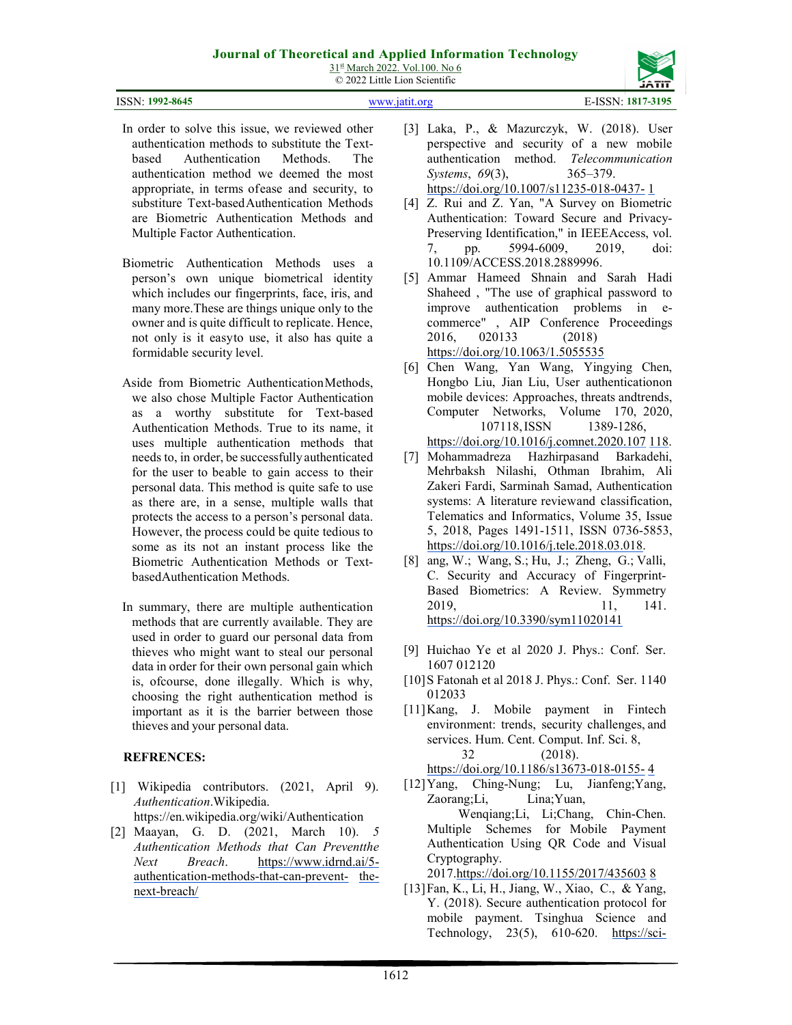# Journal of Theoretical and Applied Information Technology

31st March 2022. Vol.100. No 6 © 2022 Little Lion Scientific

| ISSN: 1992-8645 | www.jatit.org | E-ISSN: 1817-3195 |
|-----------------|---------------|-------------------|

- In order to solve this issue, we reviewed other authentication methods to substitute the Textbased Authentication Methods. The authentication method we deemed the most appropriate, in terms of ease and security, to substiture Text-based Authentication Methods are Biometric Authentication Methods and Multiple Factor Authentication.
- Biometric Authentication Methods uses a person's own unique biometrical identity which includes our fingerprints, face, iris, and many more. These are things unique only to the owner and is quite difficult to replicate. Hence, not only is it easy to use, it also has quite a formidable security level.
- Aside from Biometric Authentication Methods, we also chose Multiple Factor Authentication as a worthy substitute for Text-based Authentication Methods. True to its name, it uses multiple authentication methods that needs to, in order, be successfully authenticated for the user to be able to gain access to their personal data. This method is quite safe to use as there are, in a sense, multiple walls that protects the access to a person's personal data. However, the process could be quite tedious to some as its not an instant process like the Biometric Authentication Methods or Textbased Authentication Methods.
- In summary, there are multiple authentication methods that are currently available. They are used in order to guard our personal data from thieves who might want to steal our personal data in order for their own personal gain which is, ofcourse, done illegally. Which is why, choosing the right authentication method is important as it is the barrier between those thieves and your personal data.

# REFRENCES:

[1] Wikipedia contributors. (2021, April 9). Authentication.Wikipedia.

https://en.wikipedia.org/wiki/Authentication

[2] Maayan, G. D. (2021, March 10). 5 Authentication Methods that Can Preventthe Next Breach. https://www.idrnd.ai/5 authentication-methods-that-can-prevent- thenext-breach/

- [3] Laka, P., & Mazurczyk, W. (2018). User perspective and security of a new mobile authentication method. Telecommunication Systems, 69(3), 365–379. https://doi.org/10.1007/s11235-018-0437- 1
- [4] Z. Rui and Z. Yan, "A Survey on Biometric Authentication: Toward Secure and Privacy-Preserving Identification," in IEEE Access, vol. 7, pp. 5994-6009, 2019, doi: 10.1109/ACCESS.2018.2889996.
- [5] Ammar Hameed Shnain and Sarah Hadi Shaheed , "The use of graphical password to improve authentication problems in ecommerce" , AIP Conference Proceedings 2016, 020133 (2018) https://doi.org/10.1063/1.5055535
- [6] Chen Wang, Yan Wang, Yingying Chen, Hongbo Liu, Jian Liu, User authentication on mobile devices: Approaches, threats and trends, Computer Networks, Volume 170, 2020, 107118, ISSN 1389-1286,

https://doi.org/10.1016/j.comnet.2020.107 118.

- [7] Mohammadreza Hazhirpasand Barkadehi, Mehrbaksh Nilashi, Othman Ibrahim, Ali Zakeri Fardi, Sarminah Samad, Authentication systems: A literature review and classification, Telematics and Informatics, Volume 35, Issue 5, 2018, Pages 1491-1511, ISSN 0736-5853, https://doi.org/10.1016/j.tele.2018.03.018.
- [8] ang, W.; Wang, S.; Hu, J.; Zheng, G.; Valli, C. Security and Accuracy of Fingerprint-Based Biometrics: A Review. Symmetry 2019, 11, 141. https://doi.org/10.3390/sym11020141
- [9] Huichao Ye et al 2020 J. Phys.: Conf. Ser. 1607 012120
- [10] S Fatonah et al 2018 J. Phys.: Conf. Ser. 1140 012033
- [11]Kang, J. Mobile payment in Fintech environment: trends, security challenges, and services. Hum. Cent. Comput. Inf. Sci. 8, 32 (2018). https://doi.org/10.1186/s13673-018-0155- 4
- [12]Yang, Ching-Nung; Lu, Jianfeng;Yang, Zaorang;Li, Lina;Yuan, Wenqiang;Li, Li;Chang, Chin-Chen. Multiple Schemes for Mobile Payment Authentication Using QR Code and Visual Cryptography. 2017.https://doi.org/10.1155/2017/435603 8

[13]Fan, K., Li, H., Jiang, W., Xiao, C., & Yang, Y. (2018). Secure authentication protocol for mobile payment. Tsinghua Science and

Technology, 23(5), 610-620. https://sci-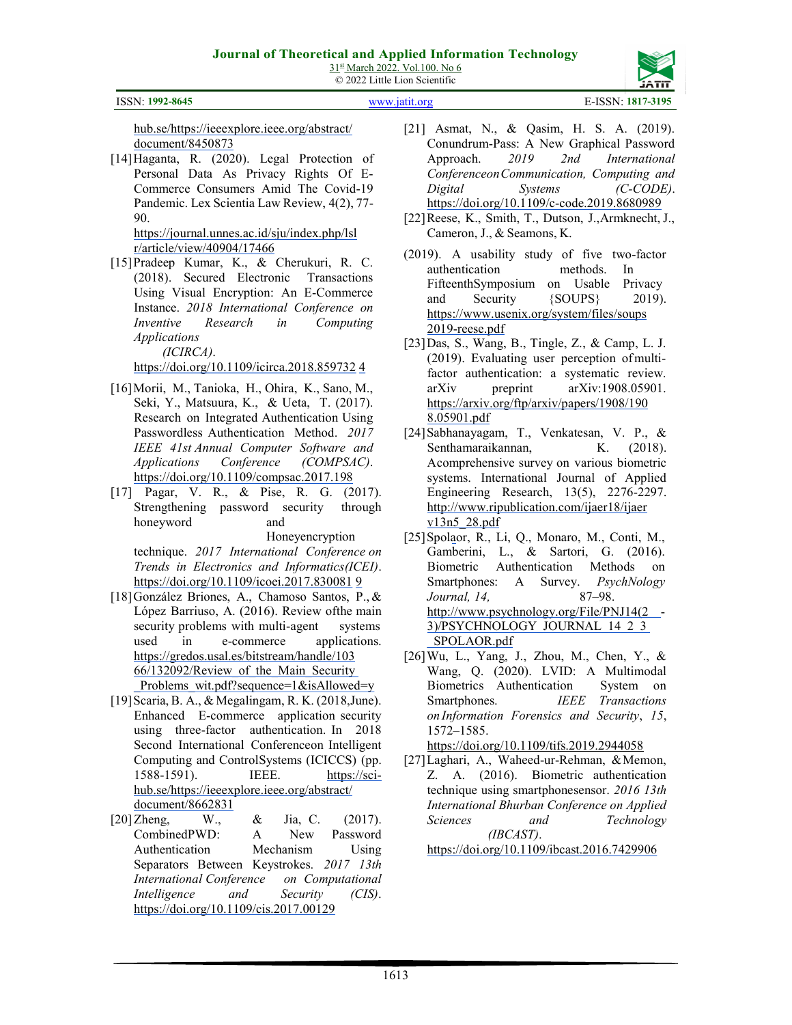

ISSN: 1992-8645 www.jatit.org E-ISSN: 1817-3195

hub.se/https://ieeexplore.ieee.org/abstract/ document/8450873

[14]Haganta, R. (2020). Legal Protection of Personal Data As Privacy Rights Of E-Commerce Consumers Amid The Covid-19 Pandemic. Lex Scientia Law Review, 4(2), 77- 90.

https://journal.unnes.ac.id/sju/index.php/lsl r/article/view/40904/17466

[15]Pradeep Kumar, K., & Cherukuri, R. C. (2018). Secured Electronic Transactions Using Visual Encryption: An E-Commerce Instance. 2018 International Conference on Inventive Research in Computing Applications

(ICIRCA).

https://doi.org/10.1109/icirca.2018.859732 4

- [16]Morii, M., Tanioka, H., Ohira, K., Sano, M., Seki, Y., Matsuura, K., & Ueta, T. (2017). Research on Integrated Authentication Using Passwordless Authentication Method. 2017 IEEE 41st Annual Computer Software and Applications Conference (COMPSAC). https://doi.org/10.1109/compsac.2017.198
- [17] Pagar, V. R., & Pise, R. G. (2017). Strengthening password security through honeyword and

Honeyencryption

technique. 2017 International Conference on Trends in Electronics and Informatics (ICEI). https://doi.org/10.1109/icoei.2017.830081 9

- [18]González Briones, A., Chamoso Santos, P., & López Barriuso, A. (2016). Review of the main security problems with multi-agent systems used in e-commerce applications. https://gredos.usal.es/bitstream/handle/103 66/132092/Review\_of\_the\_Main\_Security Problems wit.pdf?sequence=1&isAllowed=y
- [19]Scaria, B. A., & Megalingam, R. K. (2018, June). Enhanced E-commerce application security using three-factor authentication. In 2018 Second International Conferenceon Intelligent Computing and Control Systems (ICICCS) (pp. 1588-1591). IEEE. https://scihub.se/https://ieeexplore.ieee.org/abstract/ document/8662831
- [20] Zheng, W., & Jia, C. (2017). CombinedPWD: A New Password Authentication Mechanism Using Separators Between Keystrokes. 2017 13th International Conference on Computational Intelligence and Security (CIS). https://doi.org/10.1109/cis.2017.00129
- [21] Asmat, N., & Qasim, H. S. A. (2019). Conundrum-Pass: A New Graphical Password Approach. 2019 2nd International Conferenceon Communication, Computing and Digital Systems (C-CODE). https://doi.org/10.1109/c-code.2019.8680989
- [22]Reese, K., Smith, T., Dutson, J., Armknecht, J., Cameron, J., & Seamons, K.
- (2019). A usability study of five two-factor authentication methods. In Fifteenth Symposium on Usable Privacy and Security {SOUPS} 2019). https://www.usenix.org/system/files/soups 2019-reese.pdf
- [23]Das, S., Wang, B., Tingle, Z., & Camp, L. J. (2019). Evaluating user perception of multifactor authentication: a systematic review. arXiv preprint arXiv:1908.05901. https://arxiv.org/ftp/arxiv/papers/1908/190 8.05901.pdf
- [24]Sabhanayagam, T., Venkatesan, V. P., & Senthamaraikannan, K. (2018). A comprehensive survey on various biometric systems. International Journal of Applied Engineering Research, 13(5), 2276-2297. http://www.ripublication.com/ijaer18/ijaer v13n5\_28.pdf
- [25]Spolaor, R., Li, Q., Monaro, M., Conti, M., Gamberini, L., & Sartori, G. (2016). Biometric Authentication Methods on Smartphones: A Survey. PsychNology Journal, 14, 87–98. http://www.psychnology.org/File/PNJ14(2 - 3)/PSYCHNOLOGY\_JOURNAL\_14\_2\_3 \_SPOLAOR.pdf
- [26]Wu, L., Yang, J., Zhou, M., Chen, Y., & Wang, Q. (2020). LVID: A Multimodal Biometrics Authentication System on Smartphones. *IEEE Transactions* on Information Forensics and Security, 15, 1572–1585.

https://doi.org/10.1109/tifs.2019.2944058

[27]Laghari, A., Waheed-ur-Rehman, & Memon, Z. A. (2016). Biometric authentication technique using smartphonesensor. 2016 13th International Bhurban Conference on Applied Sciences and Technology (IBCAST).

https://doi.org/10.1109/ibcast.2016.7429906